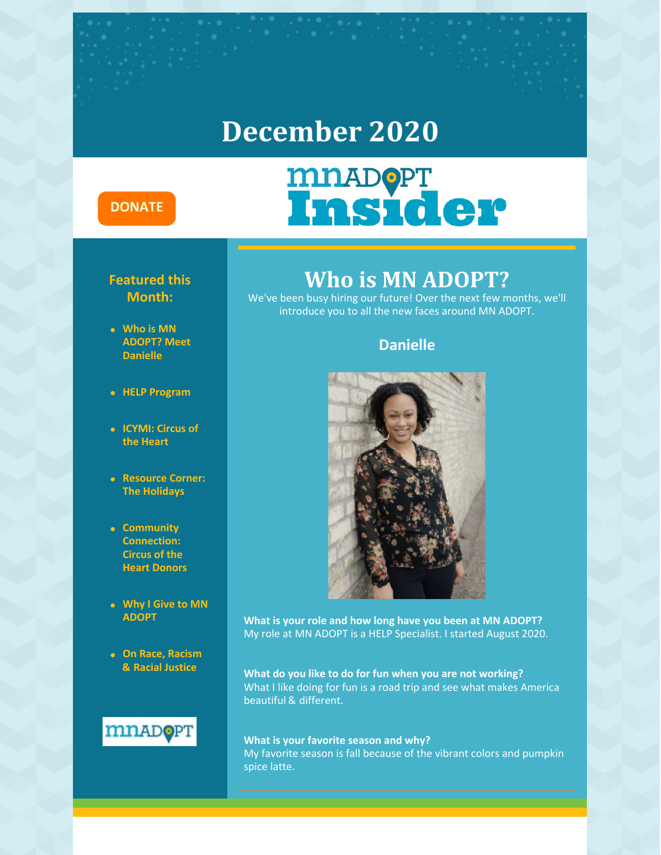### **December 2020**

#### **[DONATE](https://donatenow.networkforgood.org/mnadopt)**

#### **Featured this Month:**

- **Who is MN ADOPT? Meet Danielle**
- **HELP Program**
- **ICYMI: Circus of the Heart**
- **Resource Corner: The Holidays**
- **Community Connection: Circus of the Heart Donors**
- **Why I Give to MN ADOPT**
- **On Race, Racism & Racial Justice**



### **Who is MN ADOPT?**

**MDADOPT**<br>Insider

We've been busy hiring our future! Over the next few months, we'll introduce you to all the new faces around MN ADOPT.

#### **Danielle**



**What is your role and how long have you been at MN ADOPT?** My role at MN ADOPT is a HELP Specialist. I started August 2020.

**What do you like to do for fun when you are not working?** What I like doing for fun is a road trip and see what makes America beautiful & different.

#### **What is your favorite season and why?** My favorite season is fall because of the vibrant colors and pumpkin spice latte.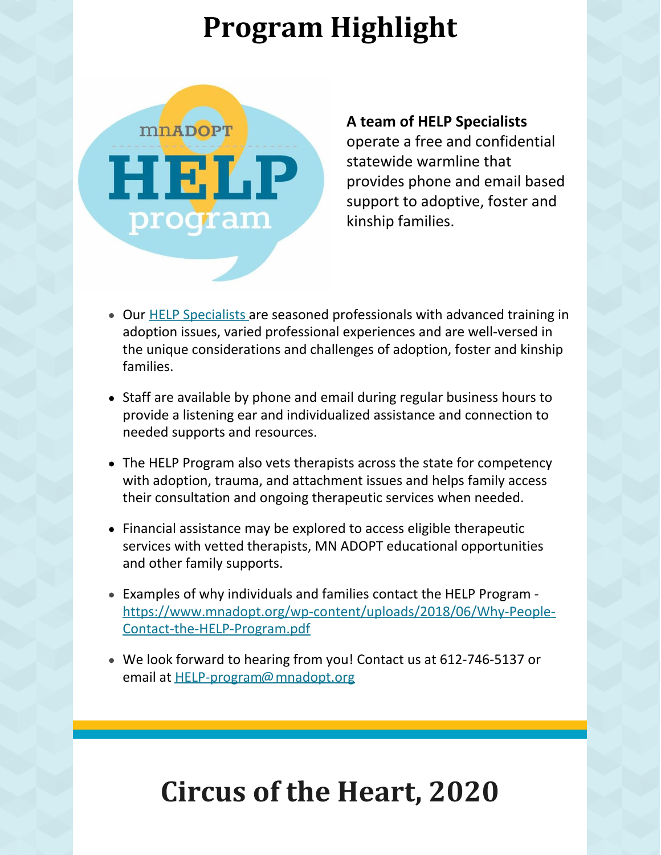## **Program Highlight**



#### **A team of HELP Specialists**

operate a free and confidential statewide warmline that provides phone and email based support to adoptive, foster and kinship families.

- Our HELP [Specialists](https://www.mnadopt.org/help-program-staff/) are seasoned professionals with advanced training in adoption issues, varied professional experiences and are well-versed in the unique considerations and challenges of adoption, foster and kinship families.
- Staff are available by phone and email during regular business hours to provide a listening ear and individualized assistance and connection to needed supports and resources.
- The HELP Program also vets therapists across the state for competency with adoption, trauma, and attachment issues and helps family access their consultation and ongoing therapeutic services when needed.
- Financial assistance may be explored to access eligible therapeutic services with vetted therapists, MN ADOPT educational opportunities and other family supports.
- Examples of why individuals and families contact the HELP Program [https://www.mnadopt.org/wp-content/uploads/2018/06/Why-People-](https://www.mnadopt.org/wp-content/uploads/2018/06/Why-People-Contact-the-HELP-Program.pdf)Contact-the-HELP-Program.pdf
- We look forward to hearing from you! Contact us at 612-746-5137 or email at [HELP-program@mnadopt.org](mailto:HELP-program@mnadopt.org)

## **Circus of the Heart, 2020**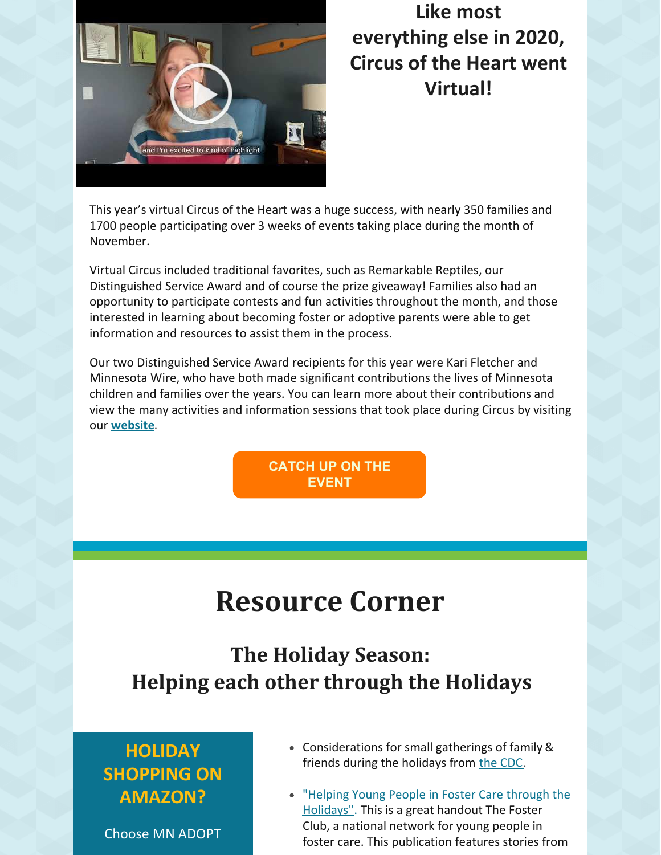

### **Like most everything else in 2020, Circus of the Heart went Virtual!**

This year's virtual Circus of the Heart was a huge success, with nearly 350 families and 1700 people participating over 3 weeks of events taking place during the month of November.

Virtual Circus included traditional favorites, such as Remarkable Reptiles, our Distinguished Service Award and of course the prize giveaway! Families also had an opportunity to participate contests and fun activities throughout the month, and those interested in learning about becoming foster or adoptive parents were able to get information and resources to assist them in the process.

Our two Distinguished Service Award recipients for this year were Kari Fletcher and Minnesota Wire, who have both made significant contributions the lives of Minnesota children and families over the years. You can learn more about their contributions and view the many activities and information sessions that took place during Circus by visiting our **[website](https://www.mnadopt.org/about/events-news/coth2020/)**.

> **[CATCH](https://www.mnadopt.org/about/events-news/coth2020/) UP ON THE EVENT**

## **Resource Corner**

### **The Holiday Season: Helping each other through the Holidays**

### **HOLIDAY SHOPPING ON AMAZON?**

Choose MN ADOPT

- Considerations for small gatherings of family & friends during the holidays from the [CDC](https://www.cdc.gov/coronavirus/2019-ncov/daily-life-coping/holidays.html).
- "Helping Young People in Foster Care through the [Holidays".](http://nc.casaforchildren.org/files/public/community/volunteers/HelpYouthInFC-Holidays.pdf) This is a great handout The Foster Club, a national network for young people in foster care. This publication features stories from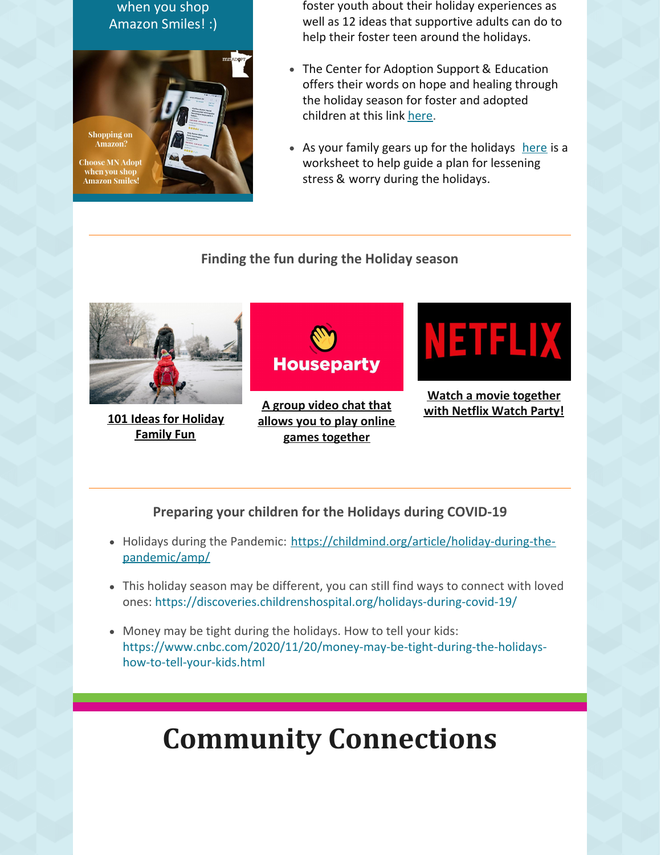when you shop Amazon Smiles! :)



foster youth about their holiday experiences as well as 12 ideas that supportive adults can do to help their foster teen around the holidays.

- The Center for Adoption Support & Education offers their words on hope and healing through the holiday season for foster and adopted children at this link [here](https://adoptionsupport.org/general/holidays-opportunity-loving-healing/).
- $\bullet$  As your family gears up for the holidays [here](https://d2zhgehghqjuwb.cloudfront.net/accounts/1450/original/1447865239752-cjxp8t0rzzc-37e0849508ae51d2ed1a0aa6f256aabd.pdf?1447865241) is a worksheet to help guide a plan for lessening stress & worry during the holidays.

#### **Finding the fun during the Holiday season**



**101 Ideas for [Holiday](https://msp.kidsoutandabout.com/content/101-ideas-holiday-family-fun-twin-cities) [Family](https://msp.kidsoutandabout.com/content/101-ideas-holiday-family-fun-twin-cities) Fun**



**A group video chat that allows you to play online games [together](https://houseparty.com/)**



#### **Watch a movie [together](https://www.netflixparty.com/) with Netflix Watch Party!**

**Preparing your children for the Holidays during COVID-19**

- Holidays during the Pandemic: [https://childmind.org/article/holiday-during-the](https://childmind.org/article/holiday-during-the-pandemic/amp/)pandemic/amp/
- This holiday season may be different, you can still find ways to connect with loved ones: https://discoveries.childrenshospital.org/holidays-during-covid-19/
- Money may be tight during the holidays. How to tell your kids: https://www.cnbc.com/2020/11/20/money-may-be-tight-during-the-holidayshow-to-tell-your-kids.html

## **Community Connections**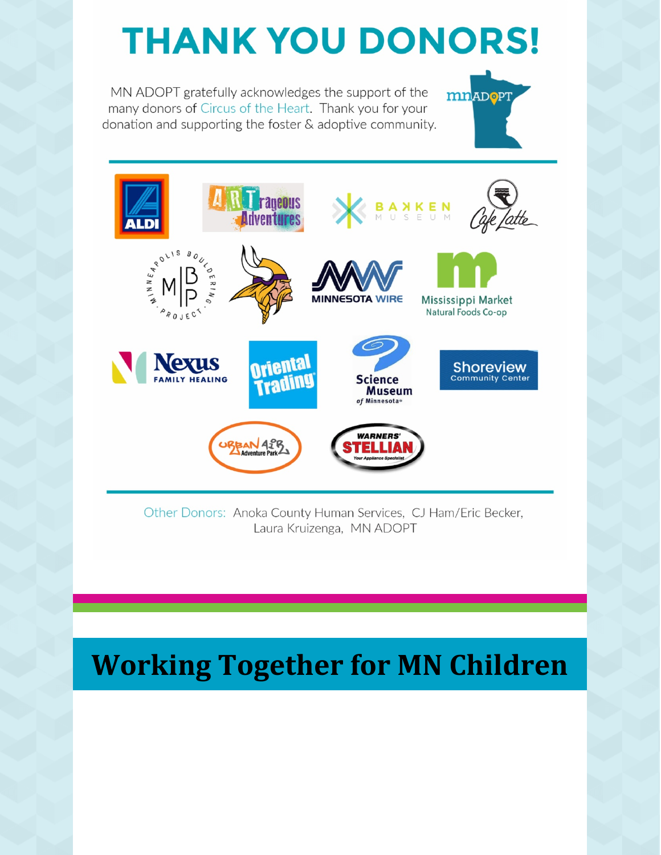# **THANK YOU DONORS!**

mnADOPT

MN ADOPT gratefully acknowledges the support of the many donors of Circus of the Heart. Thank you for your donation and supporting the foster & adoptive community.



Other Donors: Anoka County Human Services, CJ Ham/Eric Becker, Laura Kruizenga, MN ADOPT

## **Working Together for MN Children**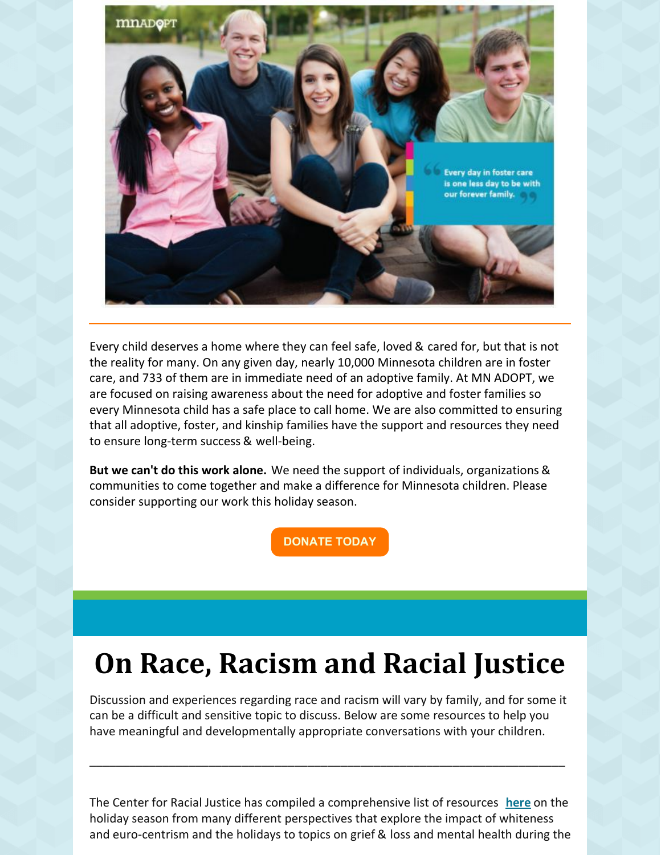

Every child deserves a home where they can feel safe, loved & cared for, but that is not the reality for many. On any given day, nearly 10,000 Minnesota children are in foster care, and 733 of them are in immediate need of an adoptive family. At MN ADOPT, we are focused on raising awareness about the need for adoptive and foster families so every Minnesota child has a safe place to call home. We are also committed to ensuring that all adoptive, foster, and kinship families have the support and resources they need to ensure long-term success & well-being.

**But we can't do this work alone.** We need the support of individuals, organizations & communities to come together and make a difference for Minnesota children. Please consider supporting our work this holiday season.

**[DONATE](https://www.givemn.org/organization/Minnesota-Adoption-Resource-Network?fbclid=IwAR2RTN1I8By7mc2VGY9RYK8pkECgXp2-QkfICWCzA_nGiIvWHF6kUsRL1BI) TODAY**

## **On Race, Racism and Racial Justice**

Discussion and experiences regarding race and racism will vary by family, and for some it can be a difficult and sensitive topic to discuss. Below are some resources to help you have meaningful and developmentally appropriate conversations with your children.

\_\_\_\_\_\_\_\_\_\_\_\_\_\_\_\_\_\_\_\_\_\_\_\_\_\_\_\_\_\_\_\_\_\_\_\_\_\_\_\_\_\_\_\_\_\_\_\_\_\_\_\_\_\_\_\_\_\_\_\_\_\_\_\_\_\_\_\_\_\_\_\_

The Center for Racial Justice has compiled a comprehensive list of resources **[here](https://centerracialjustice.org/resources/racial-justice-guide-holidayseason/)** on the holiday season from many different perspectives that explore the impact of whiteness and euro-centrism and the holidays to topics on grief & loss and mental health during the